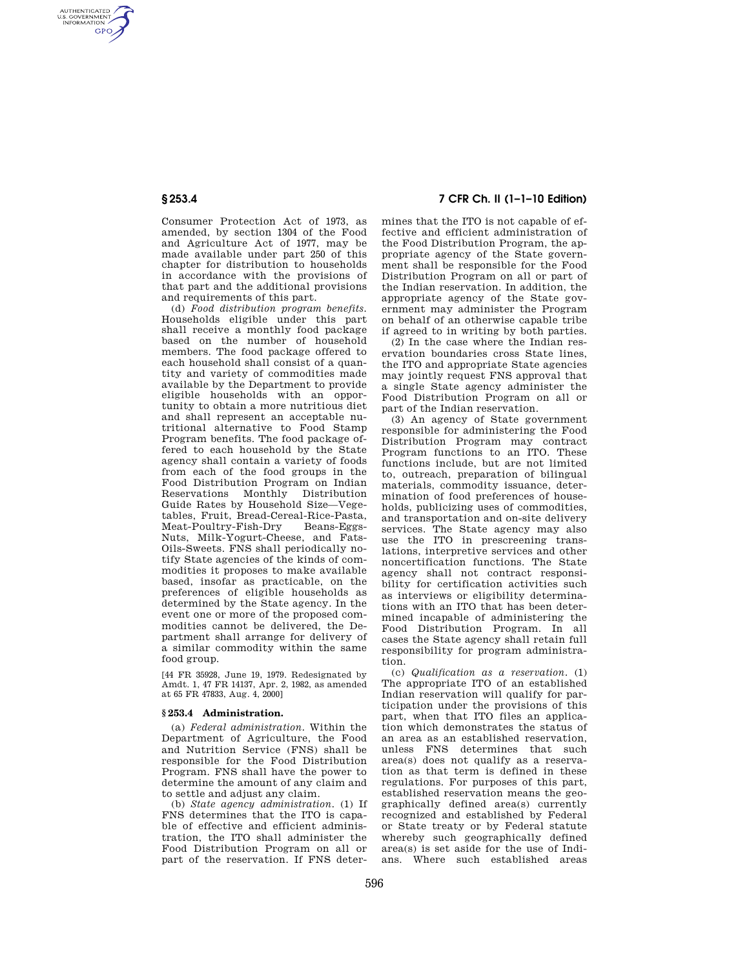AUTHENTICATED<br>U.S. GOVERNMENT<br>INFORMATION **GPO** 

> Consumer Protection Act of 1973, as amended, by section 1304 of the Food and Agriculture Act of 1977, may be made available under part 250 of this chapter for distribution to households in accordance with the provisions of that part and the additional provisions and requirements of this part.

> (d) *Food distribution program benefits.*  Households eligible under this part shall receive a monthly food package based on the number of household members. The food package offered to each household shall consist of a quantity and variety of commodities made available by the Department to provide eligible households with an opportunity to obtain a more nutritious diet and shall represent an acceptable nutritional alternative to Food Stamp Program benefits. The food package offered to each household by the State agency shall contain a variety of foods from each of the food groups in the Food Distribution Program on Indian Reservations Monthly Distribution Guide Rates by Household Size—Vegetables, Fruit, Bread-Cereal-Rice-Pasta, Meat-Poultry-Fish-Dry Nuts, Milk-Yogurt-Cheese, and Fats-Oils-Sweets. FNS shall periodically notify State agencies of the kinds of commodities it proposes to make available based, insofar as practicable, on the preferences of eligible households as determined by the State agency. In the event one or more of the proposed commodities cannot be delivered, the Department shall arrange for delivery of a similar commodity within the same food group.

[44 FR 35928, June 19, 1979. Redesignated by Amdt. 1, 47 FR 14137, Apr. 2, 1982, as amended at 65 FR 47833, Aug. 4, 2000]

## **§ 253.4 Administration.**

(a) *Federal administration.* Within the Department of Agriculture, the Food and Nutrition Service (FNS) shall be responsible for the Food Distribution Program. FNS shall have the power to determine the amount of any claim and to settle and adjust any claim.

(b) *State agency administration.* (1) If FNS determines that the ITO is capable of effective and efficient administration, the ITO shall administer the Food Distribution Program on all or part of the reservation. If FNS deter-

## **§ 253.4 7 CFR Ch. II (1–1–10 Edition)**

mines that the ITO is not capable of effective and efficient administration of the Food Distribution Program, the appropriate agency of the State government shall be responsible for the Food Distribution Program on all or part of the Indian reservation. In addition, the appropriate agency of the State government may administer the Program on behalf of an otherwise capable tribe if agreed to in writing by both parties.

(2) In the case where the Indian reservation boundaries cross State lines, the ITO and appropriate State agencies may jointly request FNS approval that a single State agency administer the Food Distribution Program on all or part of the Indian reservation.

(3) An agency of State government responsible for administering the Food Distribution Program may contract Program functions to an ITO. These functions include, but are not limited to, outreach, preparation of bilingual materials, commodity issuance, determination of food preferences of households, publicizing uses of commodities, and transportation and on-site delivery services. The State agency may also use the ITO in prescreening translations, interpretive services and other noncertification functions. The State agency shall not contract responsibility for certification activities such as interviews or eligibility determinations with an ITO that has been determined incapable of administering the Food Distribution Program. In all cases the State agency shall retain full responsibility for program administration.

(c) *Qualification as a reservation.* (1) The appropriate ITO of an established Indian reservation will qualify for participation under the provisions of this part, when that ITO files an application which demonstrates the status of an area as an established reservation, unless FNS determines that such area(s) does not qualify as a reservation as that term is defined in these regulations. For purposes of this part, established reservation means the geographically defined area(s) currently recognized and established by Federal or State treaty or by Federal statute whereby such geographically defined area(s) is set aside for the use of Indians. Where such established areas